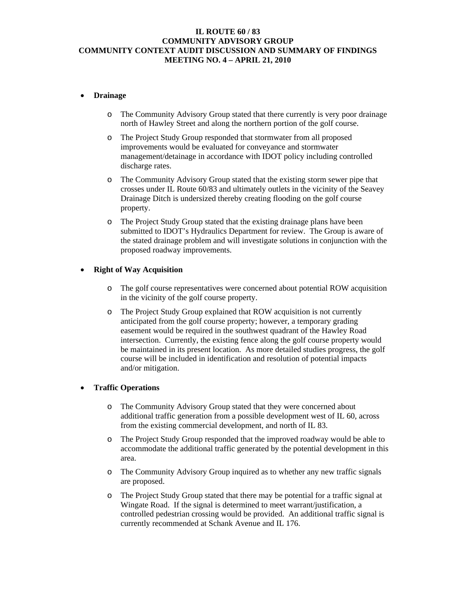### **IL ROUTE 60 / 83 COMMUNITY ADVISORY GROUP COMMUNITY CONTEXT AUDIT DISCUSSION AND SUMMARY OF FINDINGS MEETING NO. 4 – APRIL 21, 2010**

### • **Drainage**

- o The Community Advisory Group stated that there currently is very poor drainage north of Hawley Street and along the northern portion of the golf course.
- o The Project Study Group responded that stormwater from all proposed improvements would be evaluated for conveyance and stormwater management/detainage in accordance with IDOT policy including controlled discharge rates.
- o The Community Advisory Group stated that the existing storm sewer pipe that crosses under IL Route 60/83 and ultimately outlets in the vicinity of the Seavey Drainage Ditch is undersized thereby creating flooding on the golf course property.
- o The Project Study Group stated that the existing drainage plans have been submitted to IDOT's Hydraulics Department for review. The Group is aware of the stated drainage problem and will investigate solutions in conjunction with the proposed roadway improvements.

# • **Right of Way Acquisition**

- o The golf course representatives were concerned about potential ROW acquisition in the vicinity of the golf course property.
- o The Project Study Group explained that ROW acquisition is not currently anticipated from the golf course property; however, a temporary grading easement would be required in the southwest quadrant of the Hawley Road intersection. Currently, the existing fence along the golf course property would be maintained in its present location. As more detailed studies progress, the golf course will be included in identification and resolution of potential impacts and/or mitigation.

### • **Traffic Operations**

- o The Community Advisory Group stated that they were concerned about additional traffic generation from a possible development west of IL 60, across from the existing commercial development, and north of IL 83.
- o The Project Study Group responded that the improved roadway would be able to accommodate the additional traffic generated by the potential development in this area.
- o The Community Advisory Group inquired as to whether any new traffic signals are proposed.
- o The Project Study Group stated that there may be potential for a traffic signal at Wingate Road. If the signal is determined to meet warrant/justification, a controlled pedestrian crossing would be provided. An additional traffic signal is currently recommended at Schank Avenue and IL 176.